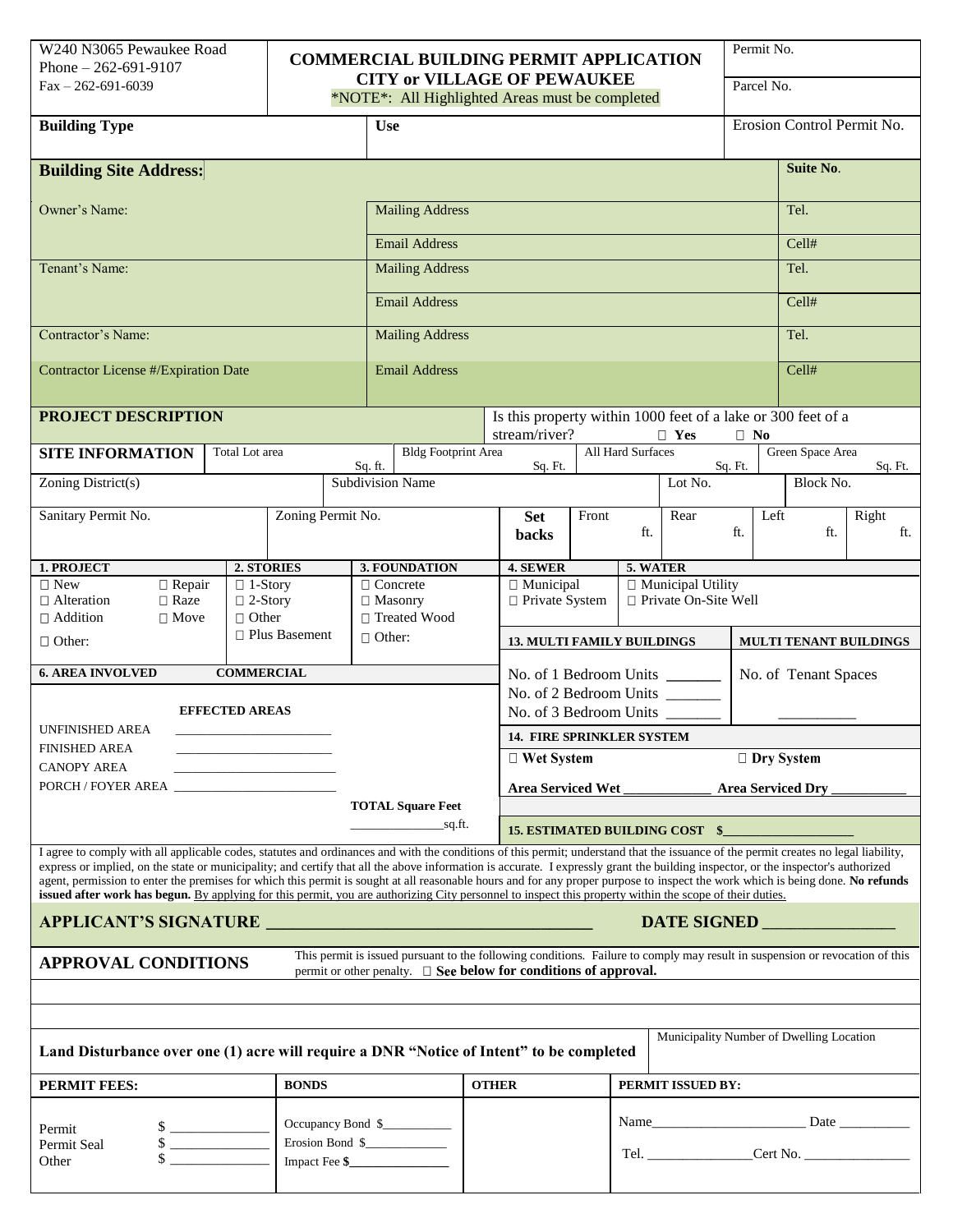| W240 N3065 Pewaukee Road |
|--------------------------|
| Phone $-262-691-9107$    |
| $Fax - 262-691-6039$     |

## **COMMERCIAL BUILDING PERMIT APPLICATION CITY or VILLAGE OF PEWAUKEE**

Permit No.

| $Fax - 262-691-6039$                                                                                                                                                                                                                                                                                                                                                                                                                                                                                                           |                                  |                                     |                          | <b>CITY or VILLAGE OF PEWAUKEE</b><br>*NOTE*: All Highlighted Areas must be completed |                                                                                                          |                                                                                  |       |                   |          | Parcel No.                                            |                            |              |  |  |
|--------------------------------------------------------------------------------------------------------------------------------------------------------------------------------------------------------------------------------------------------------------------------------------------------------------------------------------------------------------------------------------------------------------------------------------------------------------------------------------------------------------------------------|----------------------------------|-------------------------------------|--------------------------|---------------------------------------------------------------------------------------|----------------------------------------------------------------------------------------------------------|----------------------------------------------------------------------------------|-------|-------------------|----------|-------------------------------------------------------|----------------------------|--------------|--|--|
| <b>Building Type</b>                                                                                                                                                                                                                                                                                                                                                                                                                                                                                                           |                                  |                                     |                          | <b>Use</b>                                                                            |                                                                                                          |                                                                                  |       |                   |          |                                                       | Erosion Control Permit No. |              |  |  |
| <b>Building Site Address:</b>                                                                                                                                                                                                                                                                                                                                                                                                                                                                                                  |                                  |                                     |                          |                                                                                       |                                                                                                          |                                                                                  |       |                   |          |                                                       | Suite No.                  |              |  |  |
| Owner's Name:                                                                                                                                                                                                                                                                                                                                                                                                                                                                                                                  |                                  |                                     |                          | <b>Mailing Address</b>                                                                |                                                                                                          |                                                                                  |       |                   |          |                                                       |                            | Tel.         |  |  |
|                                                                                                                                                                                                                                                                                                                                                                                                                                                                                                                                |                                  |                                     |                          | <b>Email Address</b>                                                                  |                                                                                                          |                                                                                  |       |                   |          |                                                       | Cell#                      |              |  |  |
| Tenant's Name:                                                                                                                                                                                                                                                                                                                                                                                                                                                                                                                 |                                  |                                     |                          | <b>Mailing Address</b>                                                                |                                                                                                          |                                                                                  |       |                   |          |                                                       |                            | Tel.         |  |  |
|                                                                                                                                                                                                                                                                                                                                                                                                                                                                                                                                |                                  |                                     |                          | <b>Email Address</b>                                                                  |                                                                                                          |                                                                                  |       |                   |          |                                                       | Cell#                      |              |  |  |
| Contractor's Name:                                                                                                                                                                                                                                                                                                                                                                                                                                                                                                             |                                  |                                     |                          | <b>Mailing Address</b>                                                                |                                                                                                          |                                                                                  |       |                   |          |                                                       |                            | Tel.         |  |  |
| <b>Contractor License #/Expiration Date</b>                                                                                                                                                                                                                                                                                                                                                                                                                                                                                    |                                  |                                     |                          | <b>Email Address</b>                                                                  |                                                                                                          |                                                                                  |       |                   |          |                                                       | Cell#                      |              |  |  |
| <b>PROJECT DESCRIPTION</b>                                                                                                                                                                                                                                                                                                                                                                                                                                                                                                     |                                  |                                     |                          |                                                                                       | Is this property within 1000 feet of a lake or 300 feet of a<br>stream/river?<br>$\Box$ Yes<br>$\Box$ No |                                                                                  |       |                   |          |                                                       |                            |              |  |  |
| <b>SITE INFORMATION</b>                                                                                                                                                                                                                                                                                                                                                                                                                                                                                                        | Total Lot area                   |                                     | Sq. ft.                  | <b>Bldg Footprint Area</b>                                                            |                                                                                                          | Sq. Ft.                                                                          |       | All Hard Surfaces |          | Sq. Ft.                                               | Green Space Area           | Sq. Ft.      |  |  |
| Zoning District(s)                                                                                                                                                                                                                                                                                                                                                                                                                                                                                                             |                                  |                                     |                          | Subdivision Name                                                                      |                                                                                                          |                                                                                  |       |                   | Lot No.  |                                                       | Block No.                  |              |  |  |
| Sanitary Permit No.<br>Zoning Permit No.                                                                                                                                                                                                                                                                                                                                                                                                                                                                                       |                                  |                                     |                          |                                                                                       |                                                                                                          | <b>Set</b><br><b>backs</b>                                                       | Front | ft.               | Rear     | Left<br>ft.                                           | ft.                        | Right<br>ft. |  |  |
| 1. PROJECT                                                                                                                                                                                                                                                                                                                                                                                                                                                                                                                     | 2. STORIES                       |                                     |                          | 3. FOUNDATION                                                                         |                                                                                                          | 4. SEWER                                                                         |       |                   | 5. WATER |                                                       |                            |              |  |  |
| $\Box$ New<br>$\Box$ Repair<br>$\Box$ Raze<br>$\Box$ Alteration                                                                                                                                                                                                                                                                                                                                                                                                                                                                | $\Box$ 1-Story<br>$\Box$ 2-Story |                                     |                          | $\Box$ Concrete<br>$\Box$ Masonry                                                     |                                                                                                          | □ Municipal Utility<br>□ Municipal<br>□ Private On-Site Well<br>□ Private System |       |                   |          |                                                       |                            |              |  |  |
| $\Box$ Addition<br>$\Box$ Move<br>$\Box$ Other:                                                                                                                                                                                                                                                                                                                                                                                                                                                                                | $\Box$ Other                     | $\Box$ Plus Basement                |                          | □ Treated Wood<br>$\Box$ Other:                                                       |                                                                                                          |                                                                                  |       |                   |          |                                                       |                            |              |  |  |
|                                                                                                                                                                                                                                                                                                                                                                                                                                                                                                                                |                                  |                                     |                          |                                                                                       |                                                                                                          | <b>13. MULTI FAMILY BUILDINGS</b><br>No. of 1 Bedroom Units _______              |       |                   |          | <b>MULTI TENANT BUILDINGS</b><br>No. of Tenant Spaces |                            |              |  |  |
| <b>6. AREA INVOLVED</b><br><b>COMMERCIAL</b><br><b>EFFECTED AREAS</b>                                                                                                                                                                                                                                                                                                                                                                                                                                                          |                                  |                                     |                          | No. of 2 Bedroom Units _______<br>No. of 3 Bedroom Units _____                        |                                                                                                          |                                                                                  |       |                   |          |                                                       |                            |              |  |  |
| UNFINISHED AREA                                                                                                                                                                                                                                                                                                                                                                                                                                                                                                                |                                  |                                     |                          |                                                                                       |                                                                                                          | <b>14. FIRE SPRINKLER SYSTEM</b>                                                 |       |                   |          |                                                       |                            |              |  |  |
| <b>FINISHED AREA</b><br><b>CANOPY AREA</b>                                                                                                                                                                                                                                                                                                                                                                                                                                                                                     |                                  |                                     |                          |                                                                                       |                                                                                                          | $\Box$ Wet System                                                                |       |                   |          | □ Dry System                                          |                            |              |  |  |
|                                                                                                                                                                                                                                                                                                                                                                                                                                                                                                                                |                                  |                                     | <b>Area Serviced Wet</b> |                                                                                       |                                                                                                          |                                                                                  |       | Area Serviced Dry |          |                                                       |                            |              |  |  |
|                                                                                                                                                                                                                                                                                                                                                                                                                                                                                                                                |                                  | <b>TOTAL Square Feet</b><br>sq.fit. |                          | 15. ESTIMATED BUILDING COST \$                                                        |                                                                                                          |                                                                                  |       |                   |          |                                                       |                            |              |  |  |
| I agree to comply with all applicable codes, statutes and ordinances and with the conditions of this permit; understand that the issuance of the permit creates no legal liability,                                                                                                                                                                                                                                                                                                                                            |                                  |                                     |                          |                                                                                       |                                                                                                          |                                                                                  |       |                   |          |                                                       |                            |              |  |  |
| express or implied, on the state or municipality; and certify that all the above information is accurate. I expressly grant the building inspector, or the inspector's authorized<br>agent, permission to enter the premises for which this permit is sought at all reasonable hours and for any proper purpose to inspect the work which is being done. No refunds<br>issued after work has begun. By applying for this permit, you are authorizing City personnel to inspect this property within the scope of their duties. |                                  |                                     |                          |                                                                                       |                                                                                                          |                                                                                  |       |                   |          |                                                       |                            |              |  |  |
| DATE SIGNED                                                                                                                                                                                                                                                                                                                                                                                                                                                                                                                    |                                  |                                     |                          |                                                                                       |                                                                                                          |                                                                                  |       |                   |          |                                                       |                            |              |  |  |
| This permit is issued pursuant to the following conditions. Failure to comply may result in suspension or revocation of this<br><b>APPROVAL CONDITIONS</b><br>permit or other penalty. $\Box$ <b>See below for conditions of approval.</b>                                                                                                                                                                                                                                                                                     |                                  |                                     |                          |                                                                                       |                                                                                                          |                                                                                  |       |                   |          |                                                       |                            |              |  |  |
|                                                                                                                                                                                                                                                                                                                                                                                                                                                                                                                                |                                  |                                     |                          |                                                                                       |                                                                                                          |                                                                                  |       |                   |          |                                                       |                            |              |  |  |
| Municipality Number of Dwelling Location                                                                                                                                                                                                                                                                                                                                                                                                                                                                                       |                                  |                                     |                          |                                                                                       |                                                                                                          |                                                                                  |       |                   |          |                                                       |                            |              |  |  |
| Land Disturbance over one (1) acre will require a DNR "Notice of Intent" to be completed                                                                                                                                                                                                                                                                                                                                                                                                                                       |                                  |                                     |                          |                                                                                       |                                                                                                          |                                                                                  |       |                   |          |                                                       |                            |              |  |  |
| <b>PERMIT FEES:</b><br><b>BONDS</b>                                                                                                                                                                                                                                                                                                                                                                                                                                                                                            |                                  |                                     |                          |                                                                                       | <b>OTHER</b>                                                                                             | PERMIT ISSUED BY:                                                                |       |                   |          |                                                       |                            |              |  |  |
| Occupancy Bond \$<br><u> 2000 - 2000 - 2000 - 2000 - 2000 - 200</u><br>Permit<br>Erosion Bond \$<br>$\sim$<br>Permit Seal<br>Impact Fee $\frac{2}{3}$<br>Other                                                                                                                                                                                                                                                                                                                                                                 |                                  |                                     |                          |                                                                                       |                                                                                                          |                                                                                  |       |                   |          |                                                       |                            |              |  |  |